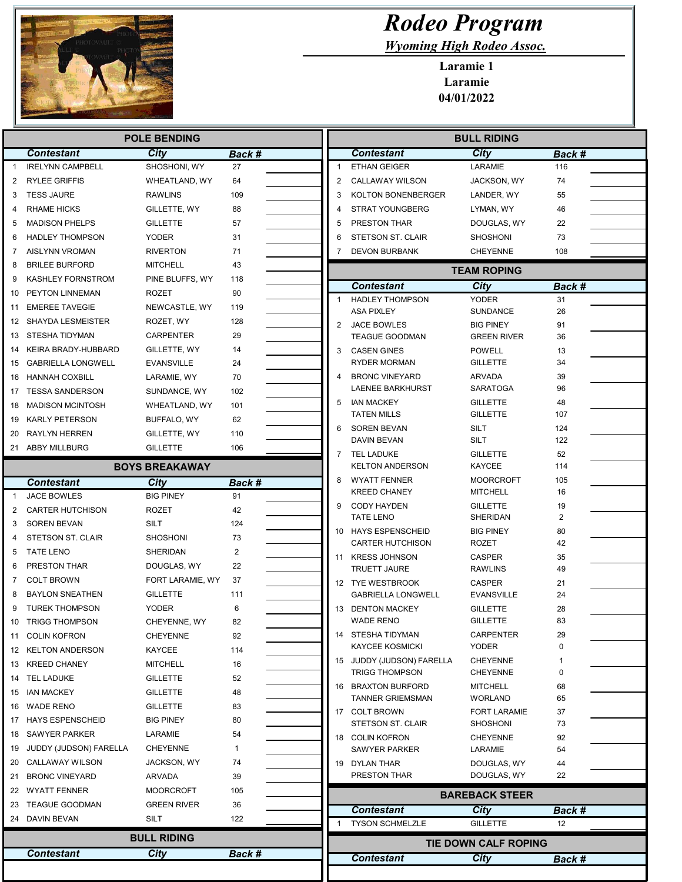

Γ Г

Г I.

## Rodeo Program

Wyoming High Rodeo Assoc.

Laramie 1 Laramie 04/01/2022

| <b>POLE BENDING</b> |                                |                                    |              |              | <b>BULL RIDING</b>                            |                             |                |  |
|---------------------|--------------------------------|------------------------------------|--------------|--------------|-----------------------------------------------|-----------------------------|----------------|--|
|                     | <b>Contestant</b>              | <b>City</b>                        | Back #       |              | <b>Contestant</b>                             | City                        | Back #         |  |
| $\mathbf{1}$        | <b>IRELYNN CAMPBELL</b>        | SHOSHONI, WY                       | 27           | 1            | <b>ETHAN GEIGER</b>                           | LARAMIE                     | 116            |  |
| 2                   | <b>RYLEE GRIFFIS</b>           | WHEATLAND, WY                      | 64           | 2            | CALLAWAY WILSON                               | JACKSON, WY                 | 74             |  |
| 3                   | <b>TESS JAURE</b>              | <b>RAWLINS</b>                     | 109          | 3            | KOLTON BONENBERGER                            | LANDER, WY                  | 55             |  |
| 4                   | <b>RHAME HICKS</b>             | GILLETTE, WY                       | 88           | 4            | <b>STRAT YOUNGBERG</b>                        | LYMAN, WY                   | 46             |  |
| 5                   | <b>MADISON PHELPS</b>          | <b>GILLETTE</b>                    | 57           | 5            | PRESTON THAR                                  | DOUGLAS, WY                 | 22             |  |
| 6                   | <b>HADLEY THOMPSON</b>         | <b>YODER</b>                       | 31           | 6            | <b>STETSON ST. CLAIR</b>                      | SHOSHONI                    | 73             |  |
| 7                   | <b>AISLYNN VROMAN</b>          | <b>RIVERTON</b>                    | 71           | 7            | <b>DEVON BURBANK</b>                          | <b>CHEYENNE</b>             | 108            |  |
| 8                   | <b>BRILEE BURFORD</b>          | <b>MITCHELL</b>                    | 43           |              |                                               | <b>TEAM ROPING</b>          |                |  |
| 9                   | <b>KASHLEY FORNSTROM</b>       | PINE BLUFFS, WY                    | 118          |              | <b>Contestant</b>                             | City                        | Back #         |  |
| 10                  | PEYTON LINNEMAN                | <b>ROZET</b>                       | 90           | $\mathbf{1}$ | <b>HADLEY THOMPSON</b>                        | <b>YODER</b>                | 31             |  |
| 11                  | <b>EMEREE TAVEGIE</b>          | NEWCASTLE, WY                      | 119          |              | <b>ASA PIXLEY</b>                             | SUNDANCE                    | 26             |  |
| 12                  | <b>SHAYDA LESMEISTER</b>       | ROZET, WY                          | 128          | 2            | JACE BOWLES                                   | <b>BIG PINEY</b>            | 91             |  |
| 13                  | STESHA TIDYMAN                 | CARPENTER                          | 29           |              | <b>TEAGUE GOODMAN</b>                         | <b>GREEN RIVER</b>          | 36             |  |
| 14                  | KEIRA BRADY-HUBBARD            | GILLETTE, WY                       | 14           | 3            | <b>CASEN GINES</b>                            | <b>POWELL</b>               | 13             |  |
| 15                  | <b>GABRIELLA LONGWELL</b>      | <b>EVANSVILLE</b>                  | 24           |              | RYDER MORMAN                                  | <b>GILLETTE</b>             | 34             |  |
| 16                  | <b>HANNAH COXBILL</b>          | LARAMIE, WY                        | 70           | 4            | <b>BRONC VINEYARD</b>                         | <b>ARVADA</b>               | 39             |  |
| 17                  | <b>TESSA SANDERSON</b>         | SUNDANCE, WY                       | 102          |              | LAENEE BARKHURST                              | <b>SARATOGA</b>             | 96             |  |
| 18                  | <b>MADISON MCINTOSH</b>        | WHEATLAND, WY                      | 101          | 5            | <b>IAN MACKEY</b>                             | <b>GILLETTE</b>             | 48             |  |
| 19                  | KARLY PETERSON                 | BUFFALO, WY                        | 62           |              | <b>TATEN MILLS</b>                            | <b>GILLETTE</b>             | 107            |  |
| 20                  | <b>RAYLYN HERREN</b>           | GILLETTE, WY                       | 110          | 6            | <b>SOREN BEVAN</b><br>DAVIN BEVAN             | <b>SILT</b><br><b>SILT</b>  | 124<br>122     |  |
|                     | 21 ABBY MILLBURG               | <b>GILLETTE</b>                    | 106          |              | 7 TEL LADUKE                                  | <b>GILLETTE</b>             | 52             |  |
|                     |                                | <b>BOYS BREAKAWAY</b>              |              |              | <b>KELTON ANDERSON</b>                        | KAYCEE                      | 114            |  |
|                     | <b>Contestant</b>              | City                               |              | 8            | <b>WYATT FENNER</b>                           | <b>MOORCROFT</b>            | 105            |  |
| -1                  | JACE BOWLES                    | <b>BIG PINEY</b>                   | Back #<br>91 |              | <b>KREED CHANEY</b>                           | <b>MITCHELL</b>             | 16             |  |
| 2                   | <b>CARTER HUTCHISON</b>        | <b>ROZET</b>                       | 42           | 9            | <b>CODY HAYDEN</b>                            | <b>GILLETTE</b>             | 19             |  |
| 3                   | <b>SOREN BEVAN</b>             | SILT                               | 124          |              | <b>TATE LENO</b>                              | SHERIDAN                    | $\overline{2}$ |  |
| 4                   | <b>STETSON ST. CLAIR</b>       | <b>SHOSHONI</b>                    | 73           |              | 10 HAYS ESPENSCHEID                           | <b>BIG PINEY</b>            | 80             |  |
| 5                   | <b>TATE LENO</b>               | SHERIDAN                           | 2            |              | <b>CARTER HUTCHISON</b>                       | ROZET                       | 42             |  |
| 6                   | PRESTON THAR                   | DOUGLAS, WY                        | 22           | 11           | <b>KRESS JOHNSON</b>                          | <b>CASPER</b>               | 35             |  |
| 7                   | <b>COLT BROWN</b>              | FORT LARAMIE, WY                   | 37           |              | <b>TRUETT JAURE</b>                           | <b>RAWLINS</b>              | 49             |  |
| 8                   | <b>BAYLON SNEATHEN</b>         | <b>GILLETTE</b>                    | 111          |              | 12 TYE WESTBROOK<br><b>GABRIELLA LONGWELL</b> | CASPER<br><b>EVANSVILLE</b> | 21<br>24       |  |
| 9                   | <b>TUREK THOMPSON</b>          | YODER                              | 6            | 13           | <b>DENTON MACKEY</b>                          | <b>GILLETTE</b>             | 28             |  |
| 10                  | TRIGG THOMPSON                 | CHEYENNE, WY                       | 82           |              | <b>WADE RENO</b>                              | <b>GILLETTE</b>             | 83             |  |
|                     | 11 COLIN KOFRON                | <b>CHEYENNE</b>                    | 92           |              | 14 STESHA TIDYMAN                             | CARPENTER                   | 29             |  |
|                     | 12 KELTON ANDERSON             | <b>KAYCEE</b>                      | 114          |              | <b>KAYCEE KOSMICKI</b>                        | YODER                       | 0              |  |
|                     | 13 KREED CHANEY                | <b>MITCHELL</b>                    | 16           |              | 15 JUDDY (JUDSON) FARELLA                     | <b>CHEYENNE</b>             |                |  |
|                     |                                |                                    |              |              | <b>TRIGG THOMPSON</b>                         | <b>CHEYENNE</b>             | 0              |  |
|                     | 14 TEL LADUKE<br>15 IAN MACKEY | <b>GILLETTE</b><br><b>GILLETTE</b> | 52<br>48     |              | 16 BRAXTON BURFORD                            | <b>MITCHELL</b>             | 68             |  |
|                     | 16 WADE RENO                   | <b>GILLETTE</b>                    | 83           |              | <b>TANNER GRIEMSMAN</b>                       | <b>WORLAND</b>              | 65             |  |
|                     | 17 HAYS ESPENSCHEID            | <b>BIG PINEY</b>                   | 80           |              | 17 COLT BROWN                                 | <b>FORT LARAMIE</b>         | 37             |  |
|                     | 18 SAWYER PARKER               | LARAMIE                            | 54           |              | <b>STETSON ST. CLAIR</b>                      | SHOSHONI                    | 73             |  |
|                     | 19 JUDDY (JUDSON) FARELLA      | <b>CHEYENNE</b>                    | $\mathbf{1}$ |              | 18 COLIN KOFRON<br><b>SAWYER PARKER</b>       | CHEYENNE<br>LARAMIE         | 92<br>54       |  |
|                     | 20 CALLAWAY WILSON             | JACKSON, WY                        | 74           |              | 19 DYLAN THAR                                 | DOUGLAS, WY                 | 44             |  |
|                     | 21 BRONC VINEYARD              | ARVADA                             | 39           |              | PRESTON THAR                                  | DOUGLAS, WY                 | 22             |  |
|                     | 22 WYATT FENNER                | <b>MOORCROFT</b>                   | 105          |              |                                               |                             |                |  |
| 23                  | TEAGUE GOODMAN                 | <b>GREEN RIVER</b>                 | 36           |              |                                               | <b>BAREBACK STEER</b>       |                |  |
|                     | 24 DAVIN BEVAN                 | SILT                               | 122          |              | <b>Contestant</b>                             | City                        | Back #         |  |
|                     |                                |                                    |              |              | 1 TYSON SCHMELZLE                             | <b>GILLETTE</b>             | 12             |  |
| <b>BULL RIDING</b>  |                                |                                    |              |              | <b>TIE DOWN CALF ROPING</b>                   |                             |                |  |
|                     | <b>Contestant</b>              | <b>City</b>                        | Back #       |              | <b>Contestant</b>                             | City                        | <b>Back #</b>  |  |
|                     |                                |                                    |              |              |                                               |                             |                |  |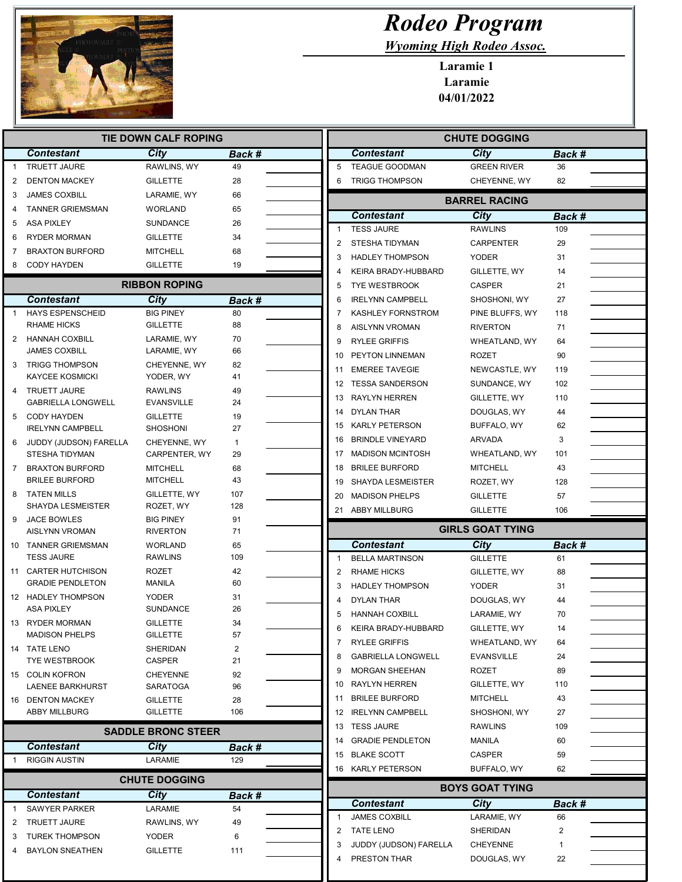

|  | <b>Rodeo Program</b> |
|--|----------------------|
|--|----------------------|

Wyoming High Rodeo Assoc.

Laramie 1 Laramie 04/01/2022

| <b>TIE DOWN CALF ROPING</b> |                                                 |                                    |                    |                | <b>CHUTE DOGGING</b>                        |                                |              |  |
|-----------------------------|-------------------------------------------------|------------------------------------|--------------------|----------------|---------------------------------------------|--------------------------------|--------------|--|
|                             | <b>Contestant</b>                               | City                               | Back #             |                | <b>Contestant</b>                           | City                           | Back #       |  |
| -1                          | <b>TRUETT JAURE</b>                             | RAWLINS, WY                        | 49                 | 5              | <b>TEAGUE GOODMAN</b>                       | <b>GREEN RIVER</b>             | 36           |  |
| 2                           | <b>DENTON MACKEY</b>                            | <b>GILLETTE</b>                    | 28                 | 6              | <b>TRIGG THOMPSON</b>                       | CHEYENNE, WY                   | 82           |  |
| 3                           | <b>JAMES COXBILL</b>                            | LARAMIE, WY                        | 66                 |                |                                             | <b>BARREL RACING</b>           |              |  |
| 4                           | <b>TANNER GRIEMSMAN</b>                         | <b>WORLAND</b>                     | 65                 |                | <b>Contestant</b>                           | <b>City</b>                    | Back #       |  |
| 5                           | <b>ASA PIXLEY</b>                               | <b>SUNDANCE</b>                    | 26                 | $\mathbf{1}$   | <b>TESS JAURE</b>                           | <b>RAWLINS</b>                 | 109          |  |
| 6                           | <b>RYDER MORMAN</b>                             | <b>GILLETTE</b>                    | 34                 | 2              | STESHA TIDYMAN                              | <b>CARPENTER</b>               | 29           |  |
| 7                           | <b>BRAXTON BURFORD</b>                          | <b>MITCHELL</b>                    | 68                 | 3              | <b>HADLEY THOMPSON</b>                      | <b>YODER</b>                   | 31           |  |
| 8                           | <b>CODY HAYDEN</b>                              | <b>GILLETTE</b>                    | 19                 | 4              | KEIRA BRADY-HUBBARD                         | GILLETTE, WY                   | 14           |  |
|                             |                                                 | <b>RIBBON ROPING</b>               |                    | 5              | <b>TYE WESTBROOK</b>                        | <b>CASPER</b>                  | 21           |  |
|                             | <b>Contestant</b>                               | City                               | Back #             | 6              | <b>IRELYNN CAMPBELL</b>                     | SHOSHONI, WY                   | 27           |  |
| -1                          | <b>HAYS ESPENSCHEID</b>                         | <b>BIG PINEY</b>                   | 80                 | 7              | KASHLEY FORNSTROM                           | PINE BLUFFS, WY                | 118          |  |
|                             | <b>RHAME HICKS</b>                              | <b>GILLETTE</b>                    | 88                 | 8              | <b>AISLYNN VROMAN</b>                       | <b>RIVERTON</b>                | 71           |  |
| 2                           | HANNAH COXBILL                                  | LARAMIE, WY                        | 70                 | 9              | <b>RYLEE GRIFFIS</b>                        | WHEATLAND, WY                  | 64           |  |
|                             | <b>JAMES COXBILL</b>                            | LARAMIE, WY                        | 66                 | 10             | PEYTON LINNEMAN                             | <b>ROZET</b>                   | 90           |  |
| 3                           | <b>TRIGG THOMPSON</b>                           | CHEYENNE, WY                       | 82                 | 11             | <b>EMEREE TAVEGIE</b>                       | NEWCASTLE, WY                  | 119          |  |
|                             | <b>KAYCEE KOSMICKI</b>                          | YODER, WY                          | 41                 |                | 12 TESSA SANDERSON                          | SUNDANCE, WY                   | 102          |  |
| 4                           | <b>TRUETT JAURE</b>                             | <b>RAWLINS</b>                     | 49                 | 13             | RAYLYN HERREN                               | GILLETTE, WY                   | 110          |  |
|                             | <b>GABRIELLA LONGWELL</b>                       | <b>EVANSVILLE</b>                  | 24                 | 14             | DYLAN THAR                                  | DOUGLAS, WY                    | 44           |  |
| 5                           | <b>CODY HAYDEN</b>                              | <b>GILLETTE</b>                    | 19                 |                | 15 KARLY PETERSON                           | BUFFALO, WY                    | 62           |  |
|                             | <b>IRELYNN CAMPBELL</b>                         | <b>SHOSHONI</b>                    | 27                 | 16             | <b>BRINDLE VINEYARD</b>                     | ARVADA                         | 3            |  |
| 6                           | JUDDY (JUDSON) FARELLA<br>STESHA TIDYMAN        | CHEYENNE, WY                       | $\mathbf{1}$<br>29 | 17             | <b>MADISON MCINTOSH</b>                     | WHEATLAND, WY                  | 101          |  |
| 7                           | <b>BRAXTON BURFORD</b>                          | CARPENTER, WY<br><b>MITCHELL</b>   | 68                 | 18             | <b>BRILEE BURFORD</b>                       | <b>MITCHELL</b>                | 43           |  |
|                             | <b>BRILEE BURFORD</b>                           | <b>MITCHELL</b>                    | 43                 | 19             | SHAYDA LESMEISTER                           | ROZET, WY                      | 128          |  |
| 8                           | <b>TATEN MILLS</b>                              | GILLETTE, WY                       | 107                | 20             | <b>MADISON PHELPS</b>                       | <b>GILLETTE</b>                | 57           |  |
|                             |                                                 |                                    |                    |                |                                             |                                |              |  |
|                             | <b>SHAYDA LESMEISTER</b>                        | ROZET, WY                          | 128                |                |                                             |                                |              |  |
| 9                           | <b>JACE BOWLES</b>                              | <b>BIG PINEY</b>                   | 91                 |                | 21 ABBY MILLBURG                            | <b>GILLETTE</b>                | 106          |  |
|                             | AISLYNN VROMAN                                  | <b>RIVERTON</b>                    | 71                 |                |                                             | <b>GIRLS GOAT TYING</b>        |              |  |
|                             | 10 TANNER GRIEMSMAN<br><b>TESS JAURE</b>        | <b>WORLAND</b><br><b>RAWLINS</b>   | 65<br>109          | $\mathbf{1}$   | <b>Contestant</b><br><b>BELLA MARTINSON</b> | <b>City</b><br><b>GILLETTE</b> | Back #<br>61 |  |
|                             | 11 CARTER HUTCHISON                             | <b>ROZET</b>                       | 42                 | $\overline{2}$ | <b>RHAME HICKS</b>                          | GILLETTE, WY                   | 88           |  |
|                             | <b>GRADIE PENDLETON</b>                         | MANILA                             | 60                 |                | <b>HADLEY THOMPSON</b>                      |                                |              |  |
|                             | 12 HADLEY THOMPSON                              | <b>YODER</b>                       | 31                 | 3<br>4         | DYLAN THAR                                  | <b>YODER</b><br>DOUGLAS, WY    | 31<br>44     |  |
|                             | ASA PIXLEY                                      | <b>SUNDANCE</b>                    | 26                 | 5              | <b>HANNAH COXBILL</b>                       | LARAMIE, WY                    | 70           |  |
|                             | 13 RYDER MORMAN                                 | <b>GILLETTE</b>                    | 34                 | 6              | KEIRA BRADY-HUBBARD                         | GILLETTE, WY                   | 14           |  |
|                             | <b>MADISON PHELPS</b>                           | GILLETTE                           | 57                 | 7              | <b>RYLEE GRIFFIS</b>                        | WHEATLAND, WY                  | 64           |  |
|                             | 14 TATE LENO                                    | SHERIDAN                           | 2                  | 8              | <b>GABRIELLA LONGWELL</b>                   | <b>EVANSVILLE</b>              | 24           |  |
|                             | <b>TYE WESTBROOK</b>                            | CASPER                             | 21                 | 9              | <b>MORGAN SHEEHAN</b>                       | ROZET                          | 89           |  |
|                             | 15 COLIN KOFRON                                 | <b>CHEYENNE</b>                    | 92                 |                | 10 RAYLYN HERREN                            | GILLETTE, WY                   | 110          |  |
|                             | LAENEE BARKHURST                                | SARATOGA                           | 96                 | 11             | <b>BRILEE BURFORD</b>                       | <b>MITCHELL</b>                | 43           |  |
|                             | 16 DENTON MACKEY<br><b>ABBY MILLBURG</b>        | <b>GILLETTE</b><br><b>GILLETTE</b> | 28<br>106          |                | 12 IRELYNN CAMPBELL                         | SHOSHONI, WY                   | 27           |  |
|                             |                                                 |                                    |                    |                | 13 TESS JAURE                               | <b>RAWLINS</b>                 | 109          |  |
|                             |                                                 | <b>SADDLE BRONC STEER</b>          |                    |                | 14 GRADIE PENDLETON                         | MANILA                         | 60           |  |
|                             | <b>Contestant</b>                               | City                               | Back #             |                | 15 BLAKE SCOTT                              | <b>CASPER</b>                  | 59           |  |
|                             | <b>RIGGIN AUSTIN</b>                            | LARAMIE                            | 129                |                | 16 KARLY PETERSON                           | BUFFALO, WY                    | 62           |  |
|                             |                                                 | <b>CHUTE DOGGING</b>               |                    |                |                                             | <b>BOYS GOAT TYING</b>         |              |  |
|                             | <b>Contestant</b>                               | <b>City</b>                        | Back #             |                |                                             |                                |              |  |
| -1                          | <b>SAWYER PARKER</b>                            | LARAMIE                            | 54                 | 1              | <b>Contestant</b><br>JAMES COXBILL          | <b>City</b><br>LARAMIE, WY     | Back #<br>66 |  |
| 2                           | <b>TRUETT JAURE</b>                             | RAWLINS, WY                        | 49                 | 2              | <b>TATE LENO</b>                            | SHERIDAN                       | 2            |  |
| 3                           | <b>TUREK THOMPSON</b><br><b>BAYLON SNEATHEN</b> | YODER<br><b>GILLETTE</b>           | 6<br>111           | 3              | JUDDY (JUDSON) FARELLA                      | <b>CHEYENNE</b>                | 1            |  |